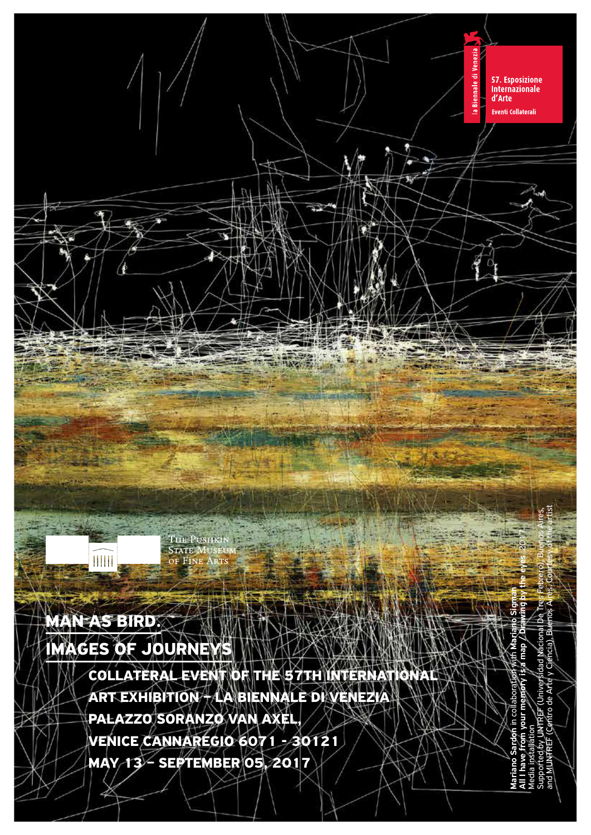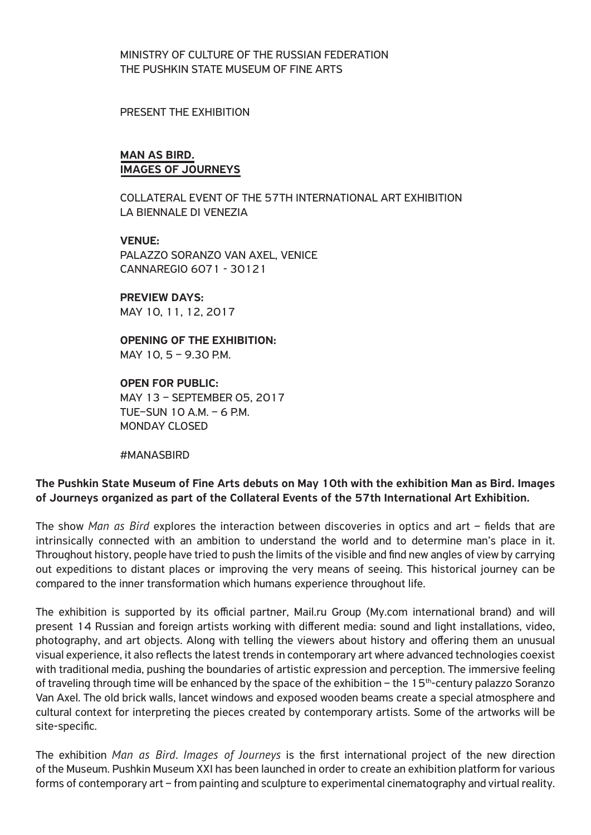MINISTRY OF CULTURE OF THE RUSSIAN FEDERATION THE PUSHKIN STATE MUSEUM OF FINE ARTS

#### PRESENT THE EXHIBITION

#### MAN AS BIRD. IMAGES OF JOURNEYS

COLLATERAL EVENT OF THE 57TH INTERNATIONAL ART EXHIBITION LA BIENNALE DI VENEZIA

#### VENUE:

PALAZZO SORANZO VAN AXEL, VENICE CANNAREGIO 6071 - 30121

#### PREVIEW DAYS: MAY 10, 11, 12, 2017

OPENING OF THE EXHIBITION: MAY 10, 5 – 9.30 P.M.

OPEN FOR PUBLIC: MAY 13 – SEPTEMBER 05, 2017 TUE–SUN 10 A.M. –  $6$  P.M. MONDAY CLOSED

#MANASBIRD

# The Pushkin State Museum of Fine Arts debuts on May 10th with the exhibition Man as Bird. Images of Journeys organized as part of the Collateral Events of the 57th International Art Exhibition.

The show *Man as Bird* explores the interaction between discoveries in optics and art – fields that are intrinsically connected with an ambition to understand the world and to determine man's place in it. Throughout history, people have tried to push the limits of the visible and find new angles of view by carrying out expeditions to distant places or improving the very means of seeing. This historical journey can be compared to the inner transformation which humans experience throughout life.

The exhibition is supported by its official partner, Mail.ru Group (My.com international brand) and will present 14 Russian and foreign artists working with different media: sound and light installations, video, photography, and art objects. Along with telling the viewers about history and offering them an unusual visual experience, it also reflects the latest trends in contemporary art where advanced technologies coexist with traditional media, pushing the boundaries of artistic expression and perception. The immersive feeling of traveling through time will be enhanced by the space of the exhibition – the 15<sup>th</sup>-century palazzo Soranzo Van Axel. The old brick walls, lancet windows and exposed wooden beams create a special atmosphere and cultural context for interpreting the pieces created by contemporary artists. Some of the artworks will be site-specific.

The exhibition *Man as Bird*. *Images of Journeys* is the first international project of the new direction of the Museum. Pushkin Museum XXI has been launched in order to create an exhibition platform for various forms of contemporary art – from painting and sculpture to experimental cinematography and virtual reality.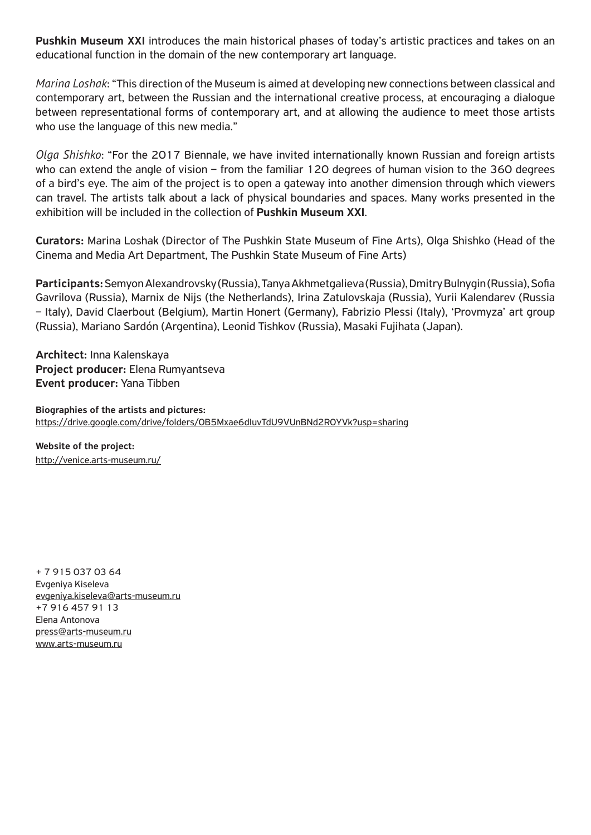Pushkin Museum XXI introduces the main historical phases of today's artistic practices and takes on an educational function in the domain of the new contemporary art language.

*Marina Loshak*: "This direction of the Museum is aimed at developing new connections between classical and contemporary art, between the Russian and the international creative process, at encouraging a dialogue between representational forms of contemporary art, and at allowing the audience to meet those artists who use the language of this new media."

*Olga Shishko*: "For the 2017 Biennale, we have invited internationally known Russian and foreign artists who can extend the angle of vision – from the familiar 120 degrees of human vision to the 360 degrees of a bird's eye. The aim of the project is to open a gateway into another dimension through which viewers can travel. The artists talk about a lack of physical boundaries and spaces. Many works presented in the exhibition will be included in the collection of Pushkin Museum XXI.

Curators: Marina Loshak (Director of The Pushkin State Museum of Fine Arts), Olga Shishko (Head of the Cinema and Media Art Department, The Pushkin State Museum of Fine Arts)

Participants: Semyon Alexandrovsky (Russia), Tanya Akhmetgalieva (Russia), Dmitry Bulnygin (Russia), Sofia Gavrilova (Russia), Marnix de Nijs (the Netherlands), Irina Zatulovskaja (Russia), Yurii Kalendarev (Russia – Italy), David Claerbout (Belgium), Martin Honert (Germany), Fabrizio Plessi (Italy), 'Provmyza' art group (Russia), Mariano Sardón (Argentina), Leonid Tishkov (Russia), Masaki Fujihata (Japan).

Architect: Inna Kalenskaya Project producer: Elena Rumyantseva Event producer: Yana Tibben

Biographies of the artists and pictures: https://drive.google.com/drive/folders/0B5Mxae6dIuvTdU9VUnBNd2R0YVk?usp=sharing

Website of the project: http://venice.arts-museum.ru/

+ 7 915 037 03 64 Evgeniya Kiseleva evgeniya.kiseleva@arts-museum.ru +7 916 457 91 13 Elena Antonova press@arts-museum.ru www.arts-museum.ru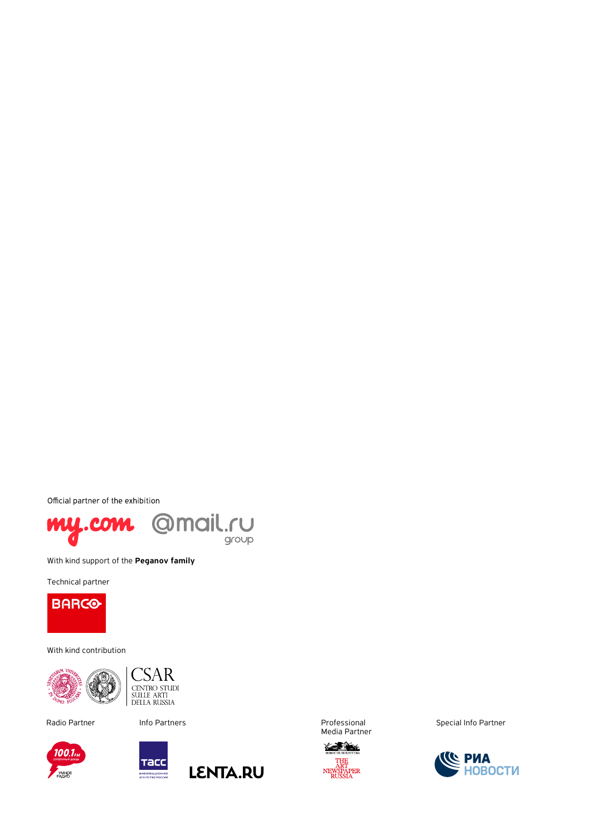Official partner of the exhibition



With kind support of the Peganov family

Technical partner

**BARCO** 

With kind contribution





100.1

PANHOE





Media Partner



Radio Partner **Radio Partners Radio Partners** rotational Professional Special Info Partner

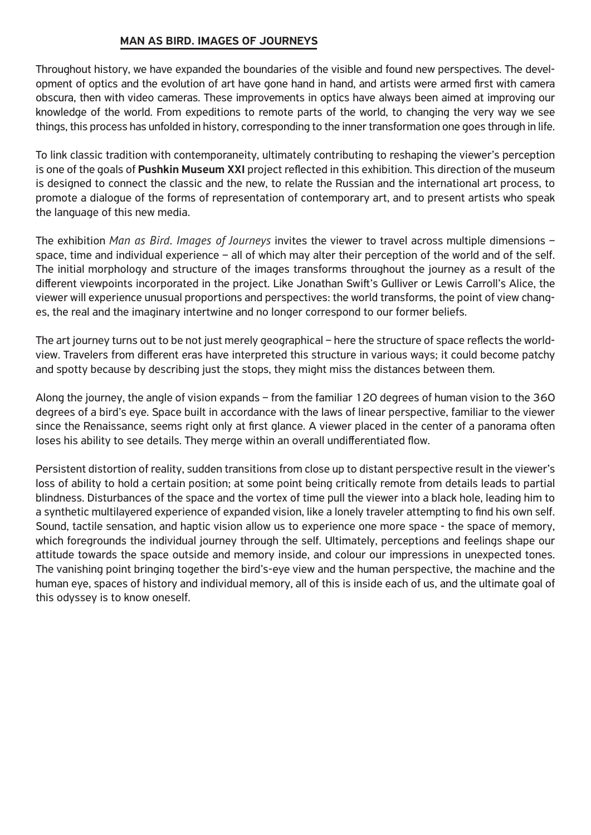# MAN AS BIRD. IMAGES OF JOURNEYS

Throughout history, we have expanded the boundaries of the visible and found new perspectives. The development of optics and the evolution of art have gone hand in hand, and artists were armed first with camera obscura, then with video cameras. These improvements in optics have always been aimed at improving our knowledge of the world. From expeditions to remote parts of the world, to changing the very way we see things, this process has unfolded in history, corresponding to the inner transformation one goes through in life.

To link classic tradition with contemporaneity, ultimately contributing to reshaping the viewer's perception is one of the goals of **Pushkin Museum XXI** project reflected in this exhibition. This direction of the museum is designed to connect the classic and the new, to relate the Russian and the international art process, to promote a dialogue of the forms of representation of contemporary art, and to present artists who speak the language of this new media.

The exhibition *Man as Bird*. *Images of Journeys* invites the viewer to travel across multiple dimensions – space, time and individual experience – all of which may alter their perception of the world and of the self. The initial morphology and structure of the images transforms throughout the journey as a result of the different viewpoints incorporated in the project. Like Jonathan Swift's Gulliver or Lewis Carroll's Alice, the viewer will experience unusual proportions and perspectives: the world transforms, the point of view changes, the real and the imaginary intertwine and no longer correspond to our former beliefs.

The art journey turns out to be not just merely geographical – here the structure of space reflects the worldview. Travelers from different eras have interpreted this structure in various ways; it could become patchy and spotty because by describing just the stops, they might miss the distances between them.

Along the journey, the angle of vision expands – from the familiar 120 degrees of human vision to the 360 degrees of a bird's eye. Space built in accordance with the laws of linear perspective, familiar to the viewer since the Renaissance, seems right only at first glance. A viewer placed in the center of a panorama often loses his ability to see details. They merge within an overall undifferentiated flow.

Persistent distortion of reality, sudden transitions from close up to distant perspective result in the viewer's loss of ability to hold a certain position; at some point being critically remote from details leads to partial blindness. Disturbances of the space and the vortex of time pull the viewer into a black hole, leading him to a synthetic multilayered experience of expanded vision, like a lonely traveler attempting to find his own self. Sound, tactile sensation, and haptic vision allow us to experience one more space - the space of memory, which foregrounds the individual journey through the self. Ultimately, perceptions and feelings shape our attitude towards the space outside and memory inside, and colour our impressions in unexpected tones. The vanishing point bringing together the bird's-eye view and the human perspective, the machine and the human eye, spaces of history and individual memory, all of this is inside each of us, and the ultimate goal of this odyssey is to know oneself.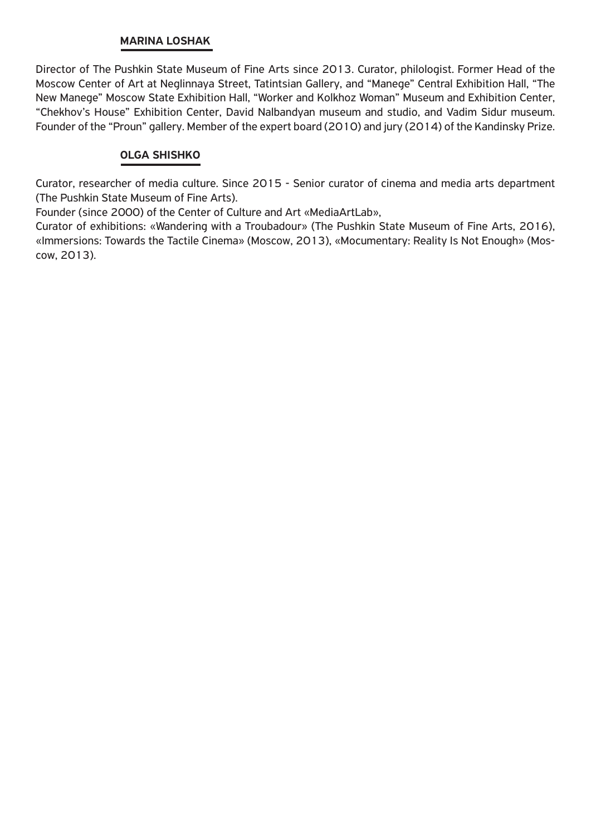## MARINA LOSHAK

Director of The Pushkin State Museum of Fine Arts since 2013. Curator, philologist. Former Head of the Moscow Center of Art at Neglinnaya Street, Tatintsian Gallery, and "Manege" Central Exhibition Hall, "The New Manege" Moscow State Exhibition Hall, "Worker and Kolkhoz Woman" Museum and Exhibition Center, "Chekhov's House" Exhibition Center, David Nalbandyan museum and studio, and Vadim Sidur museum. Founder of the "Proun" gallery. Member of the expert board (2010) and jury (2014) of the Kandinsky Prize.

# OLGA SHISHKO

Curator, researcher of media culture. Since 2015 - Senior curator of cinema and media arts department (The Pushkin State Museum of Fine Arts).

Founder (since 2000) of the Center of Culture and Art «MediaArtLab»,

Сurator of exhibitions: «Wandering with a Troubadour» (The Pushkin State Museum of Fine Arts, 2016), «Immersions: Towards the Tactile Cinema» (Moscow, 2013), «Mocumentary: Reality Is Not Enough» (Moscow, 2013).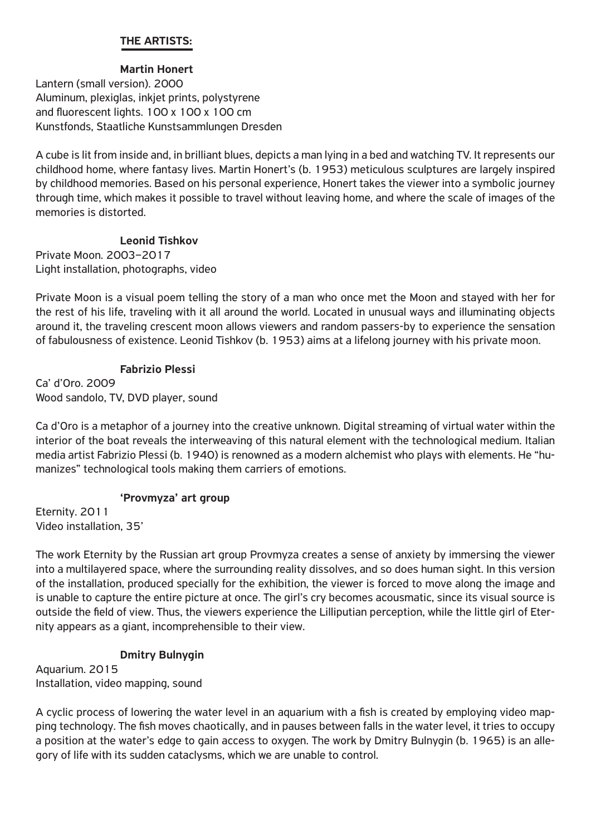# THE ARTISTS:

# Martin Honert

Lantern (small version). 2000 Aluminum, plexiglas, inkjet prints, polystyrene and fluorescent lights. 100 x 100 x 100 cm Kunstfonds, Staatliche Kunstsammlungen Dresden

A cube is lit from inside and, in brilliant blues, depicts a man lying in a bed and watching TV. It represents our childhood home, where fantasy lives. Martin Honert's (b. 1953) meticulous sculptures are largely inspired by childhood memories. Based on his personal experience, Honert takes the viewer into a symbolic journey through time, which makes it possible to travel without leaving home, and where the scale of images of the memories is distorted.

## Leonid Tishkov

Private Moon. 2003–2017 Light installation, photographs, video

Private Moon is a visual poem telling the story of a man who once met the Moon and stayed with her for the rest of his life, traveling with it all around the world. Located in unusual ways and illuminating objects around it, the traveling crescent moon allows viewers and random passers-by to experience the sensation of fabulousness of existence. Leonid Tishkov (b. 1953) aims at a lifelong journey with his private moon.

## Fabrizio Plessi

Ca' d'Oro. 2009 Wood sandolo, TV, DVD player, sound

Ca d'Oro is a metaphor of a journey into the creative unknown. Digital streaming of virtual water within the interior of the boat reveals the interweaving of this natural element with the technological medium. Italian media artist Fabrizio Plessi (b. 1940) is renowned as a modern alchemist who plays with elements. He "humanizes" technological tools making them carriers of emotions.

## 'Provmyza' art group

Eternity. 2011 Video installation, 35'

The work Eternity by the Russian art group Provmyza creates a sense of anxiety by immersing the viewer into a multilayered space, where the surrounding reality dissolves, and so does human sight. In this version of the installation, produced specially for the exhibition, the viewer is forced to move along the image and is unable to capture the entire picture at once. The girl's cry becomes acousmatic, since its visual source is outside the field of view. Thus, the viewers experience the Lilliputian perception, while the little girl of Eternity appears as a giant, incomprehensible to their view.

# Dmitry Bulnygin

Aquarium. 2015 Installation, video mapping, sound

A cyclic process of lowering the water level in an aquarium with a fish is created by employing video mapping technology. The fish moves chaotically, and in pauses between falls in the water level, it tries to occupy a position at the water's edge to gain access to oxygen. The work by Dmitry Bulnygin (b. 1965) is an allegory of life with its sudden cataclysms, which we are unable to control.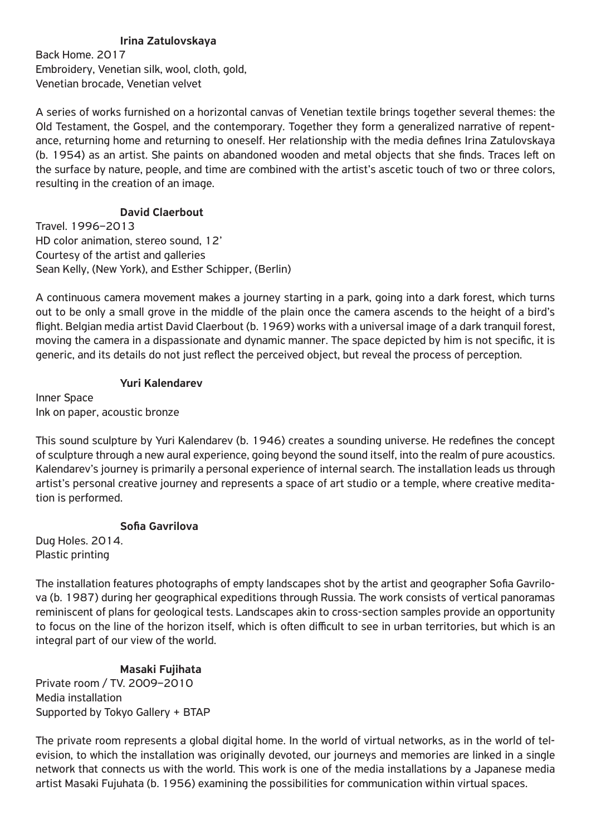# Irina Zatulovskaya

Back Home. 2017 Embroidery, Venetian silk, wool, cloth, gold, Venetian brocade, Venetian velvet

A series of works furnished on a horizontal canvas of Venetian textile brings together several themes: the Old Testament, the Gospel, and the contemporary. Together they form a generalized narrative of repentance, returning home and returning to oneself. Her relationship with the media defines Irina Zatulovskaya (b. 1954) as an artist. She paints on abandoned wooden and metal objects that she finds. Traces left on the surface by nature, people, and time are combined with the artist's ascetic touch of two or three colors, resulting in the creation of an image.

# David Claerbout

Travel. 1996–2013 HD color animation, stereo sound, 12' Courtesy of the artist and galleries Sean Kelly, (New York), and Esther Schipper, (Berlin)

A continuous camera movement makes a journey starting in a park, going into a dark forest, which turns out to be only a small grove in the middle of the plain once the camera ascends to the height of a bird's flight. Belgian media artist David Claerbout (b. 1969) works with a universal image of a dark tranquil forest, moving the camera in a dispassionate and dynamic manner. The space depicted by him is not specific, it is generic, and its details do not just reflect the perceived object, but reveal the process of perception.

## Yuri Kalendarev

Inner Space Ink on paper, acoustic bronze

This sound sculpture by Yuri Kalendarev (b. 1946) creates a sounding universe. He redefines the concept of sculpture through a new aural experience, going beyond the sound itself, into the realm of pure acoustics. Kalendarev's journey is primarily a personal experience of internal search. The installation leads us through artist's personal creative journey and represents a space of art studio or a temple, where creative meditation is performed.

## Sofia Gavrilova

Dug Holes. 2014. Plastic printing

The installation features photographs of empty landscapes shot by the artist and geographer Sofia Gavrilova (b. 1987) during her geographical expeditions through Russia. The work consists of vertical panoramas reminiscent of plans for geological tests. Landscapes akin to cross-section samples provide an opportunity to focus on the line of the horizon itself, which is often difficult to see in urban territories, but which is an integral part of our view of the world.

## Masaki Fujihata

Private room / TV. 2009–2010 Media installation Supported by Tokyo Gallery + BTAP

The private room represents a global digital home. In the world of virtual networks, as in the world of television, to which the installation was originally devoted, our journeys and memories are linked in a single network that connects us with the world. This work is one of the media installations by a Japanese media artist Masaki Fujuhata (b. 1956) examining the possibilities for communication within virtual spaces.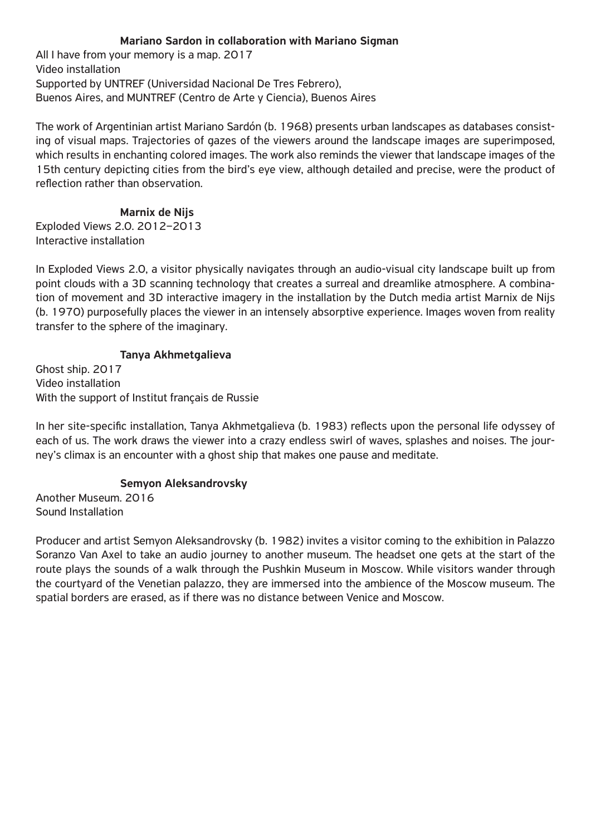# Mariano Sardon in collaboration with Mariano Sigman

All I have from your memory is a map. 2017 Video installation Supported by UNTREF (Universidad Nacional De Tres Febrero), Buenos Aires, and MUNTREF (Centro de Arte y Ciencia), Buenos Aires

The work of Argentinian artist Mariano Sardón (b. 1968) presents urban landscapes as databases consisting of visual maps. Trajectories of gazes of the viewers around the landscape images are superimposed, which results in enchanting colored images. The work also reminds the viewer that landscape images of the 15th century depicting cities from the bird's eye view, although detailed and precise, were the product of reflection rather than observation.

## Marnix de Nijs

Exploded Views 2.0. 2012–2013 Interactive installation

In Exploded Views 2.0, a visitor physically navigates through an audio-visual city landscape built up from point clouds with a 3D scanning technology that creates a surreal and dreamlike atmosphere. A combination of movement and 3D interactive imagery in the installation by the Dutch media artist Marnix de Nijs (b. 1970) purposefully places the viewer in an intensely absorptive experience. Images woven from reality transfer to the sphere of the imaginary.

### Tanya Akhmetgalieva

Ghost ship. 2017 Video installation With the support of Institut français de Russie

In her site-specific installation, Tanya Akhmetgalieva (b. 1983) reflects upon the personal life odyssey of each of us. The work draws the viewer into a crazy endless swirl of waves, splashes and noises. The journey's climax is an encounter with a ghost ship that makes one pause and meditate.

## Semyon Aleksandrovsky

Another Museum. 2016 Sound Installation

Producer and artist Semyon Aleksandrovsky (b. 1982) invites a visitor coming to the exhibition in Palazzo Soranzo Van Axel to take an audio journey to another museum. The headset one gets at the start of the route plays the sounds of a walk through the Pushkin Museum in Moscow. While visitors wander through the courtyard of the Venetian palazzo, they are immersed into the ambience of the Moscow museum. The spatial borders are erased, as if there was no distance between Venice and Moscow.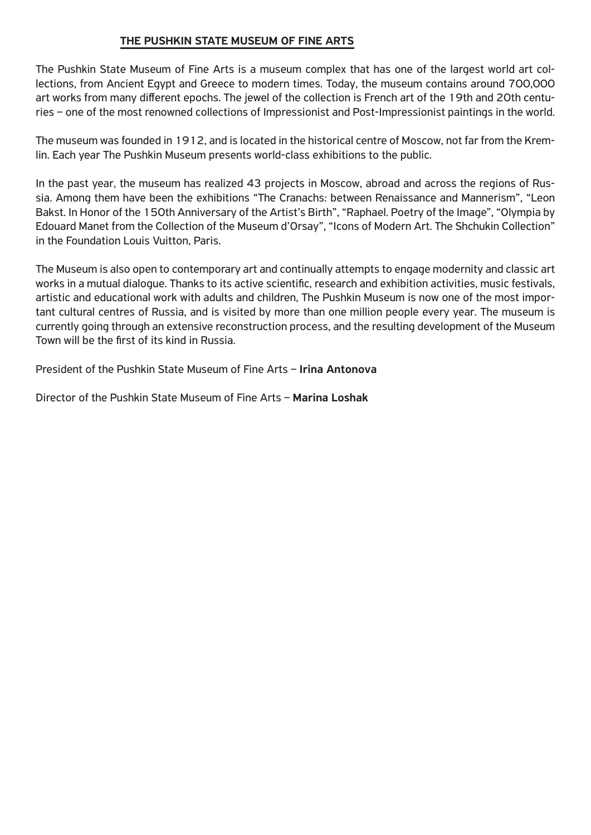# THE PUSHKIN STATE MUSEUM OF FINE ARTS

The Pushkin State Museum of Fine Arts is a museum complex that has one of the largest world art collections, from Ancient Egypt and Greece to modern times. Today, the museum contains around 700,000 art works from many different epochs. The jewel of the collection is French art of the 19th and 20th centuries – one of the most renowned collections of Impressionist and Post-Impressionist paintings in the world.

The museum was founded in 1912, and is located in the historical centre of Moscow, not far from the Kremlin. Each year The Pushkin Museum presents world-class exhibitions to the public.

In the past year, the museum has realized 43 projects in Moscow, abroad and across the regions of Russia. Among them have been the exhibitions "The Cranachs: between Renaissance and Mannerism", "Leon Bakst. In Honor of the 150th Anniversary of the Artist's Birth", "Raphael. Poetry of the Image", "Olympia by Edouard Manet from the Collection of the Museum d'Orsay", "Icons of Modern Art. The Shchukin Collection" in the Foundation Louis Vuitton, Paris.

The Museum is also open to contemporary art and continually attempts to engage modernity and classic art works in a mutual dialogue. Thanks to its active scientific, research and exhibition activities, music festivals, artistic and educational work with adults and children, The Pushkin Museum is now one of the most important cultural centres of Russia, and is visited by more than one million people every year. The museum is currently going through an extensive reconstruction process, and the resulting development of the Museum Town will be the first of its kind in Russia.

President of the Pushkin State Museum of Fine Arts – Irina Antonova

Director of the Pushkin State Museum of Fine Arts – Marina Loshak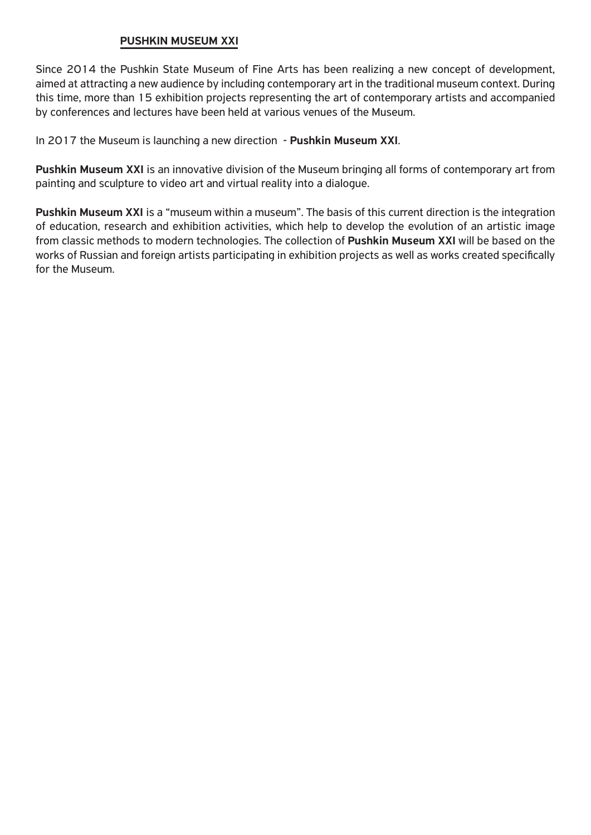# PUSHKIN MUSEUM XXI

Since 2014 the Pushkin State Museum of Fine Arts has been realizing a new concept of development, aimed at attracting a new audience by including contemporary art in the traditional museum context. During this time, more than 15 exhibition projects representing the art of contemporary artists and accompanied by conferences and lectures have been held at various venues of the Museum.

In 2017 the Museum is launching a new direction - Pushkin Museum XXI.

Pushkin Museum XXI is an innovative division of the Museum bringing all forms of contemporary art from painting and sculpture to video art and virtual reality into a dialogue.

Pushkin Museum XXI is a "museum within a museum". The basis of this current direction is the integration of education, research and exhibition activities, which help to develop the evolution of an artistic image from classic methods to modern technologies. The collection of Pushkin Museum XXI will be based on the works of Russian and foreign artists participating in exhibition projects as well as works created specifically for the Museum.